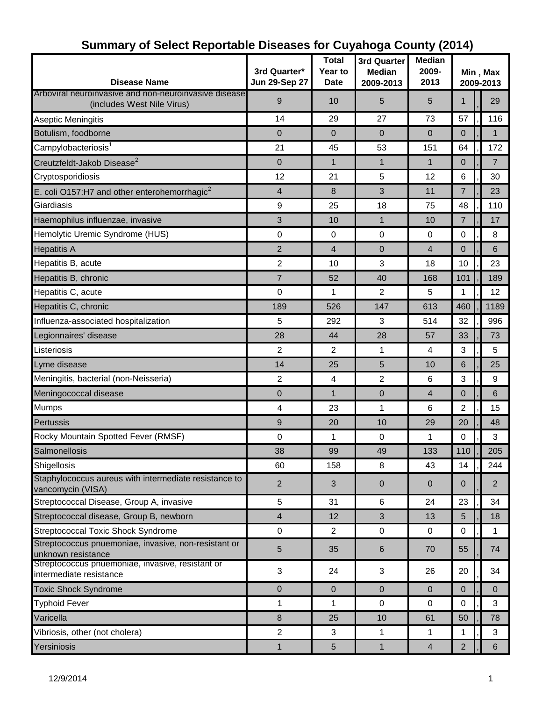| <b>Disease Name</b>                                                                 | 3rd Quarter*<br><b>Jun 29-Sep 27</b> | <b>Total</b><br>Year to<br><b>Date</b> | 3rd Quarter<br><b>Median</b><br>2009-2013 | <b>Median</b><br>2009-<br>2013 | Min, Max<br>2009-2013 |  |                |
|-------------------------------------------------------------------------------------|--------------------------------------|----------------------------------------|-------------------------------------------|--------------------------------|-----------------------|--|----------------|
| Arboviral neuroinvasive and non-neuroinvasive disease<br>(includes West Nile Virus) | 9                                    | 10                                     | 5                                         | 5                              | 1                     |  | 29             |
| Aseptic Meningitis                                                                  | 14                                   | 29                                     | 27                                        | 73                             | 57                    |  | 116            |
| Botulism, foodborne                                                                 | $\mathbf{0}$                         | $\mathbf 0$                            | $\mathbf{0}$                              | $\mathbf 0$                    | $\overline{0}$        |  | 1              |
| Campylobacteriosis <sup>1</sup>                                                     | 21                                   | 45                                     | 53                                        | 151                            | 64                    |  | 172            |
| Creutzfeldt-Jakob Disease <sup>2</sup>                                              | $\pmb{0}$                            | $\mathbf{1}$                           | $\mathbf{1}$                              | $\mathbf{1}$                   | $\overline{0}$        |  | $\overline{7}$ |
| Cryptosporidiosis                                                                   | 12                                   | 21                                     | 5                                         | 12                             | 6                     |  | 30             |
| E. coli O157:H7 and other enterohemorrhagic $2$                                     | 4                                    | 8                                      | 3                                         | 11                             | $\overline{7}$        |  | 23             |
| Giardiasis                                                                          | 9                                    | 25                                     | 18                                        | 75                             | 48                    |  | 110            |
| Haemophilus influenzae, invasive                                                    | 3                                    | 10                                     | 1                                         | 10                             | $\overline{7}$        |  | 17             |
| Hemolytic Uremic Syndrome (HUS)                                                     | 0                                    | $\mathbf 0$                            | $\mathbf 0$                               | $\mathbf 0$                    | $\mathbf 0$           |  | 8              |
| <b>Hepatitis A</b>                                                                  | $\overline{2}$                       | $\overline{4}$                         | $\mathbf 0$                               | 4                              | $\mathbf 0$           |  | 6              |
| Hepatitis B, acute                                                                  | $\overline{2}$                       | 10                                     | 3                                         | 18                             | 10                    |  | 23             |
| Hepatitis B, chronic                                                                | $\overline{7}$                       | 52                                     | 40                                        | 168                            | 101                   |  | 189            |
| Hepatitis C, acute                                                                  | $\mathbf 0$                          | 1                                      | $\overline{2}$                            | 5                              | 1                     |  | 12             |
| Hepatitis C, chronic                                                                | 189                                  | 526                                    | 147                                       | 613                            | 460                   |  | 1189           |
| Influenza-associated hospitalization                                                | 5                                    | 292                                    | 3                                         | 514                            | 32                    |  | 996            |
| Legionnaires' disease                                                               | 28                                   | 44                                     | 28                                        | 57                             | 33                    |  | 73             |
| Listeriosis                                                                         | 2                                    | $\overline{2}$                         | 1                                         | $\overline{4}$                 | 3                     |  | 5              |
| Lyme disease                                                                        | 14                                   | 25                                     | 5                                         | 10                             | 6                     |  | 25             |
| Meningitis, bacterial (non-Neisseria)                                               | $\overline{c}$                       | $\overline{4}$                         | $\overline{2}$                            | 6                              | 3                     |  | 9              |
| Meningococcal disease                                                               | 0                                    | $\mathbf{1}$                           | $\mathbf 0$                               | 4                              | $\overline{0}$        |  | 6              |
| <b>Mumps</b>                                                                        | 4                                    | 23                                     | 1                                         | 6                              | $\overline{2}$        |  | 15             |
| Pertussis                                                                           | 9                                    | 20                                     | 10                                        | 29                             | 20                    |  | 48             |
| Rocky Mountain Spotted Fever (RMSF)                                                 | $\mathbf 0$                          | 1                                      | $\mathbf 0$                               | 1                              | 0                     |  | $\sqrt{3}$     |
| Salmonellosis                                                                       | 38                                   | 99                                     | 49                                        | 133                            | 110                   |  | 205            |
| Shigellosis                                                                         | 60                                   | 158                                    | 8                                         | 43                             | 14                    |  | 244            |
| Staphylococcus aureus with intermediate resistance to<br>vancomycin (VISA)          | $\overline{2}$                       | 3                                      | $\mathbf 0$                               | $\mathbf 0$                    | $\mathbf 0$           |  | $\overline{2}$ |
| Streptococcal Disease, Group A, invasive                                            | 5                                    | 31                                     | 6                                         | 24                             | 23                    |  | 34             |
| Streptococcal disease, Group B, newborn                                             | $\overline{4}$                       | 12                                     | 3                                         | 13                             | 5                     |  | 18             |
| <b>Streptococcal Toxic Shock Syndrome</b>                                           | 0                                    | 2                                      | $\mathbf 0$                               | $\mathbf 0$                    | 0                     |  | 1              |
| Streptococcus pnuemoniae, invasive, non-resistant or<br>unknown resistance          | 5                                    | 35                                     | $\,6$                                     | 70                             | 55                    |  | 74             |
| Streptococcus pnuemoniae, invasive, resistant or<br>intermediate resistance         | 3                                    | 24                                     | 3                                         | 26                             | 20                    |  | 34             |
| <b>Toxic Shock Syndrome</b>                                                         | 0                                    | $\mathbf 0$                            | $\mathbf 0$                               | $\mathbf 0$                    | $\mathbf 0$           |  | $\mathbf 0$    |
| <b>Typhoid Fever</b>                                                                | 1                                    | $\mathbf{1}$                           | $\mathbf 0$                               | 0                              | 0                     |  | 3              |
| Varicella                                                                           | 8                                    | 25                                     | 10                                        | 61                             | 50                    |  | 78             |
| Vibriosis, other (not cholera)                                                      | $\overline{2}$                       | 3                                      | 1                                         | 1                              | 1                     |  | 3              |
| Yersiniosis                                                                         | 1                                    | 5                                      | $\mathbf{1}$                              | 4                              | $\overline{2}$        |  | 6              |

## **Summary of Select Reportable Diseases for Cuyahoga County (2014)**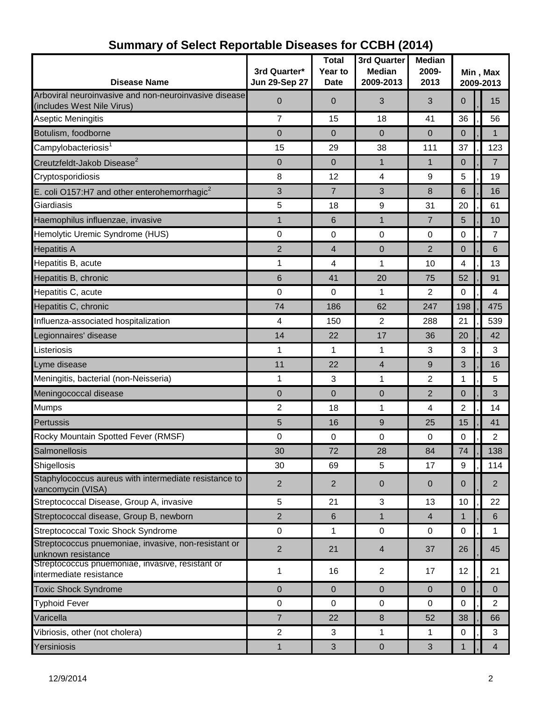| <b>Disease Name</b>                                                                 | 3rd Quarter*<br><b>Jun 29-Sep 27</b> | <b>Total</b><br>Year to<br><b>Date</b> | 3rd Quarter<br><b>Median</b><br>2009-2013 | <b>Median</b><br>2009-<br>2013 | Min, Max<br>2009-2013 |  |                |
|-------------------------------------------------------------------------------------|--------------------------------------|----------------------------------------|-------------------------------------------|--------------------------------|-----------------------|--|----------------|
| Arboviral neuroinvasive and non-neuroinvasive disease<br>(includes West Nile Virus) | 0                                    | $\mathbf 0$                            | 3                                         | 3                              | $\mathbf 0$           |  | 15             |
| Aseptic Meningitis                                                                  | 7                                    | 15                                     | 18                                        | 41                             | 36                    |  | 56             |
| Botulism, foodborne                                                                 | $\mathbf{0}$                         | $\mathbf 0$                            | $\mathbf 0$                               | $\mathbf 0$                    | $\overline{0}$        |  | 1              |
| Campylobacteriosis <sup>1</sup>                                                     | 15                                   | 29                                     | 38                                        | 111                            | 37                    |  | 123            |
| Creutzfeldt-Jakob Disease <sup>2</sup>                                              | $\mathbf{0}$                         | $\mathbf 0$                            | $\mathbf{1}$                              | $\mathbf{1}$                   | $\overline{0}$        |  | $\overline{7}$ |
| Cryptosporidiosis                                                                   | 8                                    | 12                                     | $\overline{4}$                            | 9                              | 5                     |  | 19             |
| E. coli O157:H7 and other enterohemorrhagic $2$                                     | 3                                    | $\overline{7}$                         | $\mathfrak{B}$                            | 8                              | 6                     |  | 16             |
| Giardiasis                                                                          | 5                                    | 18                                     | $\boldsymbol{9}$                          | 31                             | 20                    |  | 61             |
| Haemophilus influenzae, invasive                                                    | $\mathbf{1}$                         | 6                                      | $\mathbf{1}$                              | $\overline{7}$                 | 5                     |  | 10             |
| Hemolytic Uremic Syndrome (HUS)                                                     | 0                                    | $\mathbf 0$                            | $\mathbf 0$                               | $\mathbf 0$                    | $\mathbf 0$           |  | $\overline{7}$ |
| <b>Hepatitis A</b>                                                                  | $\overline{2}$                       | 4                                      | $\mathbf 0$                               | 2                              | $\overline{0}$        |  | 6              |
| Hepatitis B, acute                                                                  | 1                                    | 4                                      | 1                                         | 10                             | 4                     |  | 13             |
| Hepatitis B, chronic                                                                | 6                                    | 41                                     | 20                                        | 75                             | 52                    |  | 91             |
| Hepatitis C, acute                                                                  | 0                                    | $\mathbf 0$                            | 1                                         | 2                              | $\mathbf 0$           |  | 4              |
| Hepatitis C, chronic                                                                | 74                                   | 186                                    | 62                                        | 247                            | 198                   |  | 475            |
| Influenza-associated hospitalization                                                | 4                                    | 150                                    | $\overline{2}$                            | 288                            | 21                    |  | 539            |
| Legionnaires' disease                                                               | 14                                   | 22                                     | 17                                        | 36                             | 20                    |  | 42             |
| Listeriosis                                                                         | 1                                    | 1                                      | 1                                         | 3                              | 3                     |  | 3              |
| Lyme disease                                                                        | 11                                   | 22                                     | $\overline{4}$                            | 9                              | 3                     |  | 16             |
| Meningitis, bacterial (non-Neisseria)                                               | 1                                    | 3                                      | $\mathbf{1}$                              | 2                              | 1                     |  | 5              |
| Meningococcal disease                                                               | $\mathbf 0$                          | $\mathbf 0$                            | $\mathbf 0$                               | 2                              | $\overline{0}$        |  | 3              |
| <b>Mumps</b>                                                                        | 2                                    | 18                                     | 1                                         | 4                              | $\overline{2}$        |  | 14             |
| Pertussis                                                                           | 5                                    | 16                                     | $\boldsymbol{9}$                          | 25                             | 15                    |  | 41             |
| Rocky Mountain Spotted Fever (RMSF)                                                 | 0                                    | $\boldsymbol{0}$                       | 0                                         | 0                              | 0                     |  | $\overline{2}$ |
| Salmonellosis                                                                       | 30                                   | 72                                     | 28                                        | 84                             | 74                    |  | 138            |
| Shigellosis                                                                         | 30                                   | 69                                     | 5                                         | 17                             | 9                     |  | 114            |
| Staphylococcus aureus with intermediate resistance to<br>vancomycin (VISA)          | $\overline{2}$                       | $\overline{2}$                         | $\mathbf{0}$                              | $\mathbf 0$                    | $\overline{0}$        |  | $\overline{2}$ |
| Streptococcal Disease, Group A, invasive                                            | 5                                    | 21                                     | 3                                         | 13                             | 10                    |  | 22             |
| Streptococcal disease, Group B, newborn                                             | $\overline{2}$                       | $6\phantom{1}6$                        | $\mathbf{1}$                              | $\overline{4}$                 | $\mathbf{1}$          |  | 6              |
| <b>Streptococcal Toxic Shock Syndrome</b>                                           | $\mathbf 0$                          | 1                                      | $\mathbf 0$                               | $\mathbf 0$                    | $\mathbf 0$           |  | 1              |
| Streptococcus pnuemoniae, invasive, non-resistant or<br>unknown resistance          | $\overline{2}$                       | 21                                     | $\overline{4}$                            | 37                             | 26                    |  | 45             |
| Streptococcus pnuemoniae, invasive, resistant or<br>intermediate resistance         | 1                                    | 16                                     | $\overline{2}$                            | 17                             | 12                    |  | 21             |
| <b>Toxic Shock Syndrome</b>                                                         | $\mathbf 0$                          | $\mathbf 0$                            | $\mathbf{0}$                              | $\mathbf 0$                    | $\overline{0}$        |  | $\mathbf{0}$   |
| <b>Typhoid Fever</b>                                                                | $\mathsf 0$                          | $\mathsf 0$                            | $\mathbf 0$                               | $\mathbf 0$                    | $\mathbf 0$           |  | $\overline{2}$ |
| Varicella                                                                           | $\overline{7}$                       | 22                                     | $\,8\,$                                   | 52                             | 38                    |  | 66             |
| Vibriosis, other (not cholera)                                                      | $\overline{2}$                       | 3                                      | 1                                         | 1                              | $\mathbf 0$           |  | 3              |
| Yersiniosis                                                                         | 1                                    | 3                                      | $\mathbf 0$                               | 3                              | 1                     |  | 4              |

# **Summary of Select Reportable Diseases for CCBH (2014)**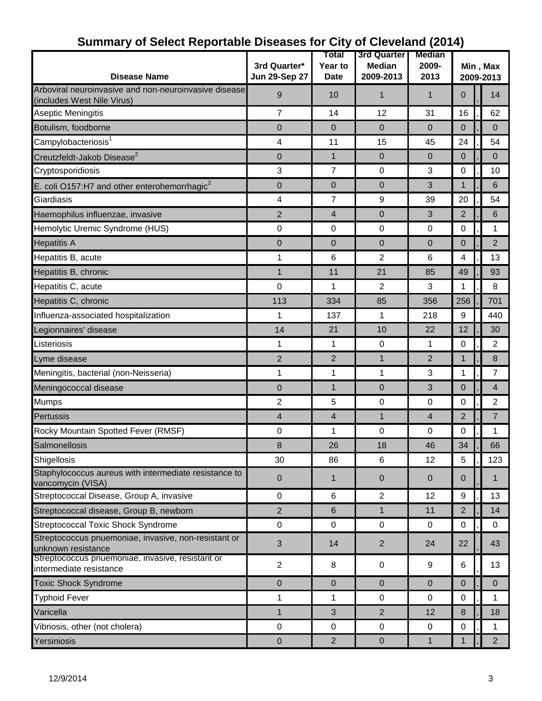|                                                                                     |                         | Total                    | 3rd Quarter      | <b>Median</b>  |                       |  |                |
|-------------------------------------------------------------------------------------|-------------------------|--------------------------|------------------|----------------|-----------------------|--|----------------|
|                                                                                     | 3rd Quarter*            | Year to                  | <b>Median</b>    | 2009-          | Min, Max<br>2009-2013 |  |                |
| <b>Disease Name</b>                                                                 | <b>Jun 29-Sep 27</b>    | <b>Date</b>              | 2009-2013        | 2013           |                       |  |                |
| Arboviral neuroinvasive and non-neuroinvasive disease<br>(includes West Nile Virus) | 9                       | 10                       | 1                | 1              | $\mathbf 0$           |  | 14             |
| Aseptic Meningitis                                                                  | $\overline{7}$          | 14                       | 12               | 31             | 16                    |  | 62             |
| Botulism, foodborne                                                                 | $\boldsymbol{0}$        | $\pmb{0}$                | $\mathbf 0$      | $\overline{0}$ | $\overline{0}$        |  | $\mathbf 0$    |
| Campylobacteriosis <sup>1</sup>                                                     | $\overline{\mathbf{4}}$ | 11                       | 15               | 45             | 24                    |  | 54             |
| Creutzfeldt-Jakob Disease <sup>2</sup>                                              | $\pmb{0}$               | $\mathbf{1}$             | $\mathbf 0$      | $\mathbf 0$    | $\mathbf 0$           |  | $\mathbf 0$    |
| Cryptosporidiosis                                                                   | 3                       | $\overline{7}$           | $\mathbf 0$      | 3              | $\mathbf 0$           |  | 10             |
| E. coli O157:H7 and other enterohemorrhagic $2$                                     | 0                       | $\boldsymbol{0}$         | $\mathbf 0$      | 3              | 1                     |  | 6              |
| Giardiasis                                                                          | 4                       | 7                        | 9                | 39             | 20                    |  | 54             |
| Haemophilus influenzae, invasive                                                    | $\overline{2}$          | $\overline{\mathcal{A}}$ | $\mathbf 0$      | 3              | $\overline{2}$        |  | 6              |
| Hemolytic Uremic Syndrome (HUS)                                                     | $\pmb{0}$               | $\pmb{0}$                | $\mathbf 0$      | $\mathbf 0$    | $\mathbf 0$           |  | 1              |
| <b>Hepatitis A</b>                                                                  | $\mathbf 0$             | $\mathbf 0$              | $\mathbf 0$      | $\mathbf 0$    | $\overline{0}$        |  | $\overline{2}$ |
| Hepatitis B, acute                                                                  | 1                       | $6\phantom{1}$           | $\overline{2}$   | 6              | 4                     |  | 13             |
| Hepatitis B, chronic                                                                | $\mathbf{1}$            | 11                       | 21               | 85             | 49                    |  | 93             |
| Hepatitis C, acute                                                                  | 0                       | 1                        | $\overline{2}$   | 3              | 1                     |  | 8              |
| Hepatitis C, chronic                                                                | 113                     | 334                      | 85               | 356            | 256                   |  | 701            |
| Influenza-associated hospitalization                                                | 1                       | 137                      | 1                | 218            | $\boldsymbol{9}$      |  | 440            |
| Legionnaires' disease                                                               | 14                      | 21                       | 10               | 22             | 12                    |  | 30             |
| Listeriosis                                                                         | 1                       | 1                        | $\mathbf 0$      | 1              | $\mathbf 0$           |  | $\overline{2}$ |
| Lyme disease                                                                        | $\overline{2}$          | $\overline{2}$           | $\mathbf{1}$     | $\overline{2}$ | $\mathbf{1}$          |  | 8              |
| Meningitis, bacterial (non-Neisseria)                                               | 1                       | 1                        | 1                | 3              | 1                     |  | $\overline{7}$ |
| Meningococcal disease                                                               | $\mathbf 0$             | $\mathbf{1}$             | $\mathbf 0$      | 3              | $\overline{0}$        |  | $\overline{4}$ |
| <b>Mumps</b>                                                                        | $\overline{2}$          | 5                        | $\boldsymbol{0}$ | $\mathbf 0$    | $\mathbf 0$           |  | $\overline{2}$ |
| Pertussis                                                                           | 4                       | 4                        | $\mathbf{1}$     | 4              | $\overline{2}$        |  | $\overline{7}$ |
| Rocky Mountain Spotted Fever (RMSF)                                                 | $\pmb{0}$               | 1                        | $\pmb{0}$        | 0              | 0                     |  | 1              |
| Salmonellosis                                                                       | 8                       | 26                       | 18               | 46             | 34                    |  | 66             |
| Shigellosis                                                                         | 30                      | 86                       | 6                | 12             | 5                     |  | 123            |
| Staphylococcus aureus with intermediate resistance to<br>vancomycin (VISA)          | $\mathbf 0$             | $\mathbf{1}$             | $\mathbf 0$      | $\overline{0}$ | $\mathbf 0$           |  | 1              |
| Streptococcal Disease, Group A, invasive                                            | $\mathsf 0$             | 6                        | $\overline{2}$   | 12             | $\boldsymbol{9}$      |  | 13             |
| Streptococcal disease, Group B, newborn                                             | $\overline{2}$          | 6                        | $\mathbf{1}$     | 11             | $\overline{2}$        |  | 14             |
| Streptococcal Toxic Shock Syndrome                                                  | $\mathbf 0$             | 0                        | 0                | 0              | $\mathbf 0$           |  | 0              |
| Streptococcus pnuemoniae, invasive, non-resistant or<br>unknown resistance          | $\mathbf{3}$            | 14                       | $\overline{2}$   | 24             | 22                    |  | 43             |
| Streptococcus pnuemoniae, invasive, resistant or<br>intermediate resistance         | $\boldsymbol{2}$        | 8                        | $\mathbf 0$      | 9              | 6                     |  | 13             |
| <b>Toxic Shock Syndrome</b>                                                         | $\mathbf 0$             | $\pmb{0}$                | $\mathbf 0$      | $\mathbf 0$    | $\mathbf 0$           |  | $\mathbf{0}$   |
| <b>Typhoid Fever</b>                                                                | 1                       | 1                        | $\mathbf 0$      | $\mathbf 0$    | 0                     |  | $\mathbf{1}$   |
| Varicella                                                                           | $\mathbf{1}$            | 3                        | $\overline{2}$   | 12             | 8                     |  | 18             |
| Vibriosis, other (not cholera)                                                      | $\mathbf 0$             | $\pmb{0}$                | $\mathbf 0$      | $\mathbf 0$    | $\boldsymbol{0}$      |  | 1              |
| Yersiniosis                                                                         | $\pmb{0}$               | $\overline{2}$           | $\pmb{0}$        | $\mathbf{1}$   | $\mathbf{1}$          |  | $\overline{2}$ |

#### **Summary of Select Reportable Diseases for City of Cleveland (2014)**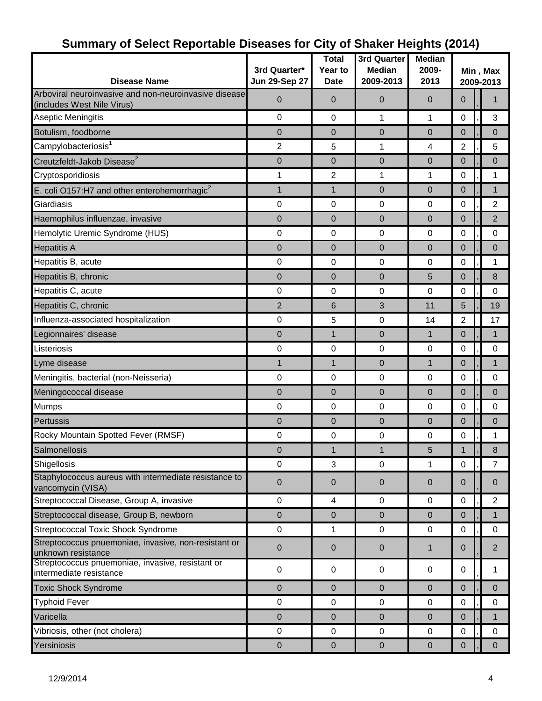| <b>Disease Name</b>                                                                 | 3rd Quarter*<br><b>Jun 29-Sep 27</b> | <b>Total</b><br>Year to<br><b>Date</b> | <b>3rd Quarter</b><br><b>Median</b><br>2009-2013 | ັ<br><b>Median</b><br>2009-<br>2013 | Min, Max<br>2009-2013 |  |                |
|-------------------------------------------------------------------------------------|--------------------------------------|----------------------------------------|--------------------------------------------------|-------------------------------------|-----------------------|--|----------------|
| Arboviral neuroinvasive and non-neuroinvasive disease<br>(includes West Nile Virus) | 0                                    | $\mathbf 0$                            | $\mathbf{0}$                                     | 0                                   | 0                     |  | 1              |
| Aseptic Meningitis                                                                  | 0                                    | $\mathbf 0$                            | 1                                                | 1                                   | $\mathbf 0$           |  | 3              |
| Botulism, foodborne                                                                 | 0                                    | $\mathbf 0$                            | $\mathbf 0$                                      | $\overline{0}$                      | $\overline{0}$        |  | $\mathbf 0$    |
| Campylobacteriosis <sup>1</sup>                                                     | 2                                    | 5                                      | 1                                                | 4                                   | $\overline{2}$        |  | 5              |
| Creutzfeldt-Jakob Disease <sup>2</sup>                                              | $\mathbf 0$                          | $\mathbf 0$                            | $\mathbf{0}$                                     | 0                                   | $\mathbf 0$           |  | $\Omega$       |
| Cryptosporidiosis                                                                   | 1                                    | $\overline{2}$                         | 1                                                | 1                                   | $\mathbf 0$           |  | 1              |
| E. coli O157:H7 and other enterohemorrhagic <sup>2</sup>                            | $\mathbf{1}$                         | 1                                      | $\pmb{0}$                                        | $\overline{0}$                      | $\mathbf 0$           |  | 1              |
| Giardiasis                                                                          | 0                                    | $\boldsymbol{0}$                       | 0                                                | $\mathbf 0$                         | $\mathbf 0$           |  | $\overline{2}$ |
| Haemophilus influenzae, invasive                                                    | 0                                    | $\mathbf 0$                            | $\mathbf{0}$                                     | $\overline{0}$                      | $\mathbf 0$           |  | $\overline{2}$ |
| Hemolytic Uremic Syndrome (HUS)                                                     | 0                                    | 0                                      | $\mathbf 0$                                      | $\mathbf 0$                         | $\mathbf 0$           |  | $\Omega$       |
| <b>Hepatitis A</b>                                                                  | 0                                    | 0                                      | 0                                                | 0                                   | $\mathbf 0$           |  | $\mathbf 0$    |
| Hepatitis B, acute                                                                  | 0                                    | $\boldsymbol{0}$                       | $\pmb{0}$                                        | $\pmb{0}$                           | $\mathbf 0$           |  | 1              |
| Hepatitis B, chronic                                                                | 0                                    | $\mathbf 0$                            | $\mathbf 0$                                      | 5                                   | $\mathbf 0$           |  | 8              |
| Hepatitis C, acute                                                                  | 0                                    | $\boldsymbol{0}$                       | $\pmb{0}$                                        | $\pmb{0}$                           | 0                     |  | $\mathbf 0$    |
| Hepatitis C, chronic                                                                | $\overline{2}$                       | 6                                      | 3                                                | 11                                  | 5                     |  | 19             |
| Influenza-associated hospitalization                                                | 0                                    | 5                                      | $\pmb{0}$                                        | 14                                  | $\overline{2}$        |  | 17             |
| Legionnaires' disease                                                               | 0                                    | $\mathbf{1}$                           | $\mathbf 0$                                      | $\mathbf{1}$                        | $\mathbf 0$           |  | $\mathbf{1}$   |
| Listeriosis                                                                         | 0                                    | 0                                      | $\mathsf 0$                                      | 0                                   | 0                     |  | $\mathbf 0$    |
| Lyme disease                                                                        | 1                                    | $\mathbf{1}$                           | $\mathbf 0$                                      | $\mathbf{1}$                        | $\overline{0}$        |  | $\mathbf 1$    |
| Meningitis, bacterial (non-Neisseria)                                               | 0                                    | 0                                      | $\pmb{0}$                                        | $\pmb{0}$                           | $\mathbf 0$           |  | $\mathbf 0$    |
| Meningococcal disease                                                               | 0                                    | $\mathbf 0$                            | $\mathbf 0$                                      | $\overline{0}$                      | $\overline{0}$        |  | $\mathbf 0$    |
| Mumps                                                                               | 0                                    | 0                                      | $\pmb{0}$                                        | 0                                   | 0                     |  | $\mathbf 0$    |
| Pertussis                                                                           | 0                                    | $\mathbf 0$                            | 0                                                | 0                                   | $\mathbf 0$           |  | $\mathbf 0$    |
| Rocky Mountain Spotted Fever (RMSF)                                                 | $\mathbf 0$                          | 0                                      | $\mathbf 0$                                      | 0                                   | $\mathbf 0$           |  | 1              |
| Salmonellosis                                                                       | $\boldsymbol{0}$                     | 1                                      | 1                                                | 5                                   | 1                     |  | 8              |
| Shigellosis                                                                         | 0                                    | 3                                      | $\mathbf 0$                                      | 1                                   | $\mathbf 0$           |  | $\overline{7}$ |
| Staphylococcus aureus with intermediate resistance to<br>vancomycin (VISA)          | 0                                    | $\pmb{0}$                              | $\pmb{0}$                                        | $\overline{0}$                      | $\mathbf 0$           |  | $\mathbf 0$    |
| Streptococcal Disease, Group A, invasive                                            | $\mathbf 0$                          | 4                                      | $\mathbf 0$                                      | $\mathbf 0$                         | $\mathbf 0$           |  | $\overline{2}$ |
| Streptococcal disease, Group B, newborn                                             | 0                                    | $\mathbf 0$                            | $\mathbf 0$                                      | $\mathbf{0}$                        | $\overline{0}$        |  | $\mathbf{1}$   |
| <b>Streptococcal Toxic Shock Syndrome</b>                                           | 0                                    | 1                                      | $\mathbf 0$                                      | $\mathbf 0$                         | $\mathbf 0$           |  | $\mathbf 0$    |
| Streptococcus pnuemoniae, invasive, non-resistant or<br>unknown resistance          | 0                                    | $\pmb{0}$                              | $\pmb{0}$                                        | $\mathbf{1}$                        | $\overline{0}$        |  | $\overline{2}$ |
| Streptococcus pnuemoniae, invasive, resistant or<br>intermediate resistance         | $\mathbf 0$                          | $\mathbf 0$                            | $\mathbf 0$                                      | $\mathsf 0$                         | 0                     |  | 1              |
| <b>Toxic Shock Syndrome</b>                                                         | 0                                    | $\pmb{0}$                              | $\mathbf 0$                                      | $\mathbf 0$                         | $\mathbf 0$           |  | $\mathbf{0}$   |
| <b>Typhoid Fever</b>                                                                | $\pmb{0}$                            | $\mathbf 0$                            | 0                                                | $\mathbf 0$                         | $\mathbf 0$           |  | $\mathbf 0$    |
| Varicella                                                                           | 0                                    | $\pmb{0}$                              | 0                                                | $\mathbf{0}$                        | $\mathbf 0$           |  | 1              |
| Vibriosis, other (not cholera)                                                      | $\mathbf 0$                          | $\mathbf 0$                            | $\mathbf 0$                                      | 0                                   | $\mathbf 0$           |  | $\mathbf 0$    |
| Yersiniosis                                                                         | 0                                    | $\pmb{0}$                              | 0                                                | $\mathbf 0$                         | $\mathbf 0$           |  | $\mathbf 0$    |

## **Summary of Select Reportable Diseases for City of Shaker Heights (2014)**